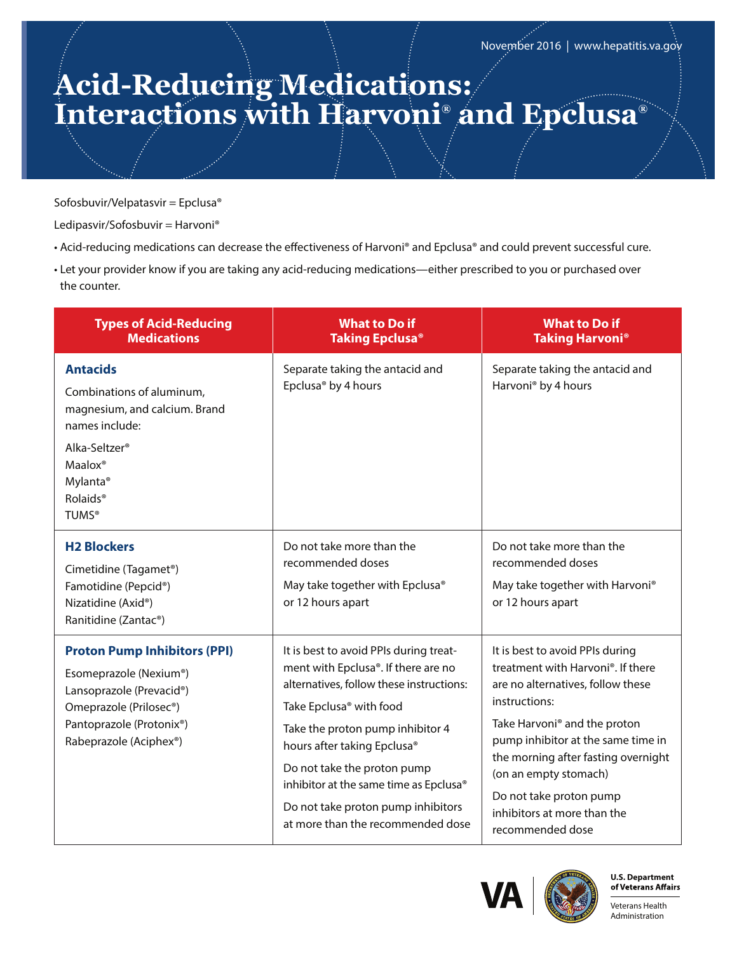## **Acid-Reducing Medications: Interactions with Harvoni® and Epclusa®**

Sofosbuvir/Velpatasvir = Epclusa®

Ledipasvir/Sofosbuvir = Harvoni®

- Acid-reducing medications can decrease the effectiveness of Harvoni® and Epclusa® and could prevent successful cure.
- Let your provider know if you are taking any acid-reducing medications—either prescribed to you or purchased over the counter.

| <b>Types of Acid-Reducing</b><br><b>Medications</b>                                                                                                                                                                 | <b>What to Do if</b><br><b>Taking Epclusa®</b>                                                                                                                                                                                                                                                                                                                                          | <b>What to Do if</b><br><b>Taking Harvoni<sup>®</sup></b>                                                                                                                                                                                                                                                                                                  |
|---------------------------------------------------------------------------------------------------------------------------------------------------------------------------------------------------------------------|-----------------------------------------------------------------------------------------------------------------------------------------------------------------------------------------------------------------------------------------------------------------------------------------------------------------------------------------------------------------------------------------|------------------------------------------------------------------------------------------------------------------------------------------------------------------------------------------------------------------------------------------------------------------------------------------------------------------------------------------------------------|
| <b>Antacids</b><br>Combinations of aluminum,<br>magnesium, and calcium. Brand<br>names include:<br>Alka-Seltzer <sup>®</sup><br>Maalox <sup>®</sup><br>Mylanta <sup>®</sup><br>Rolaids <sup>®</sup><br><b>TUMS®</b> | Separate taking the antacid and<br>Epclusa <sup>®</sup> by 4 hours                                                                                                                                                                                                                                                                                                                      | Separate taking the antacid and<br>Harvoni <sup>®</sup> by 4 hours                                                                                                                                                                                                                                                                                         |
| <b>H2 Blockers</b><br>Cimetidine (Tagamet <sup>®</sup> )<br>Famotidine (Pepcid®)<br>Nizatidine (Axid®)<br>Ranitidine (Zantac®)                                                                                      | Do not take more than the<br>recommended doses<br>May take together with Epclusa®<br>or 12 hours apart                                                                                                                                                                                                                                                                                  | Do not take more than the<br>recommended doses<br>May take together with Harvoni®<br>or 12 hours apart                                                                                                                                                                                                                                                     |
| <b>Proton Pump Inhibitors (PPI)</b><br>Esomeprazole (Nexium®)<br>Lansoprazole (Prevacid®)<br>Omeprazole (Prilosec <sup>®</sup> )<br>Pantoprazole (Protonix®)<br>Rabeprazole (Aciphex®)                              | It is best to avoid PPIs during treat-<br>ment with Epclusa®. If there are no<br>alternatives, follow these instructions:<br>Take Epclusa <sup>®</sup> with food<br>Take the proton pump inhibitor 4<br>hours after taking Epclusa®<br>Do not take the proton pump<br>inhibitor at the same time as Epclusa®<br>Do not take proton pump inhibitors<br>at more than the recommended dose | It is best to avoid PPIs during<br>treatment with Harvoni®. If there<br>are no alternatives, follow these<br>instructions:<br>Take Harvoni <sup>®</sup> and the proton<br>pump inhibitor at the same time in<br>the morning after fasting overnight<br>(on an empty stomach)<br>Do not take proton pump<br>inhibitors at more than the<br>recommended dose |





Veterans Health Administration